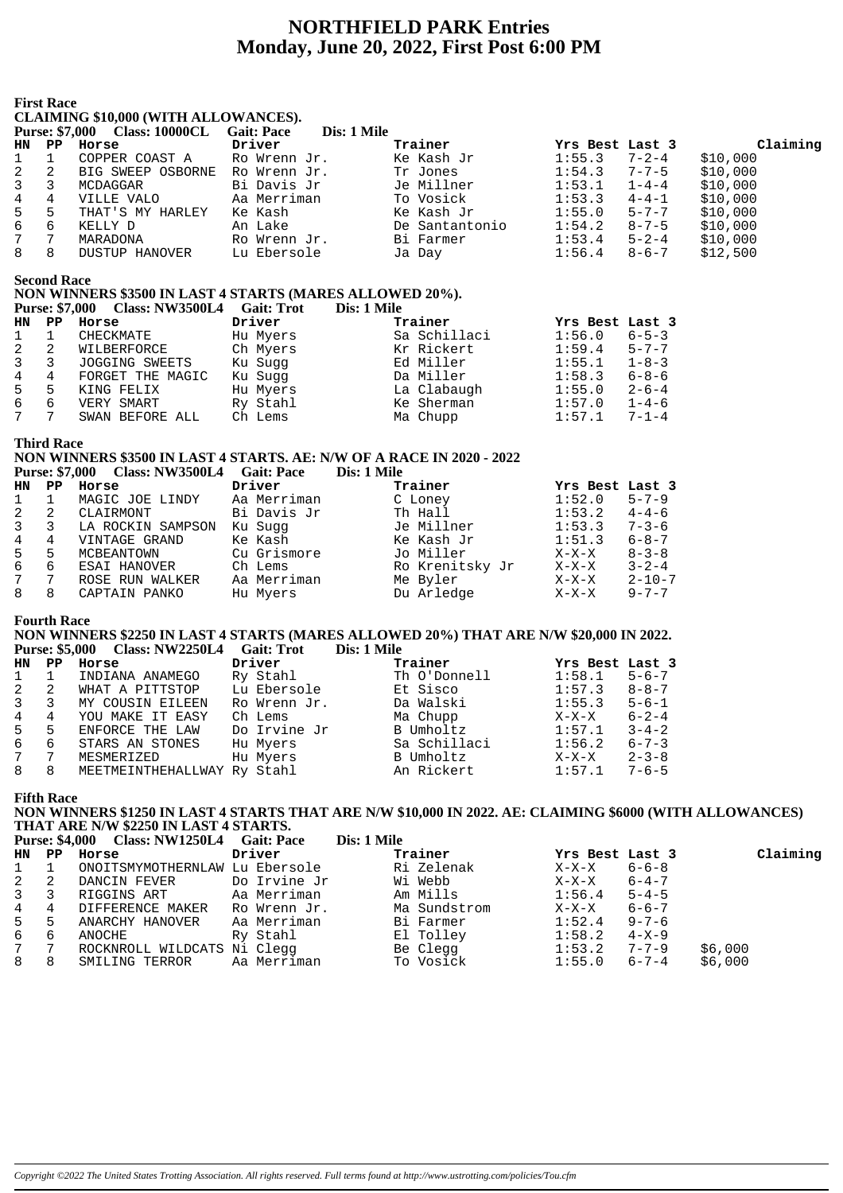# **NORTHFIELD PARK Entries** Monday, June 20, 2022, First Post 6:00 PM

|                | тим касс<br><b>CLAIMING \$10,000 (WITH ALLOWANCES).</b> |                                                                                                   |                   |                |                       |          |  |  |  |  |
|----------------|---------------------------------------------------------|---------------------------------------------------------------------------------------------------|-------------------|----------------|-----------------------|----------|--|--|--|--|
|                |                                                         | <b>Purse: \$7,000 Class: 10000CL</b>                                                              | <b>Gait: Pace</b> | Dis: 1 Mile    |                       |          |  |  |  |  |
| HN.            | PP.                                                     | Horse                                                                                             | Driver            | Trainer        | Yrs Best Last 3       | Claiming |  |  |  |  |
| 1              | $\mathbf{1}$                                            | COPPER COAST A                                                                                    | Ro Wrenn Jr.      | Ke Kash Jr     | 1:55.3<br>$7 - 2 - 4$ | \$10,000 |  |  |  |  |
|                | 2                                                       | BIG SWEEP OSBORNE                                                                                 | Ro Wrenn Jr.      | Tr Jones       | 1:54.3<br>$7 - 7 - 5$ | \$10,000 |  |  |  |  |
| $\frac{2}{3}$  | 3                                                       | MCDAGGAR                                                                                          | Bi Davis Jr       | Je Millner     | 1:53.1<br>$1 - 4 - 4$ | \$10,000 |  |  |  |  |
| $\overline{4}$ | 4                                                       | VILLE VALO                                                                                        | Aa Merriman       | To Vosick      | 1:53.3<br>$4 - 4 - 1$ | \$10,000 |  |  |  |  |
| 5              | 5                                                       | THAT'S MY HARLEY                                                                                  | Ke Kash           | Ke Kash Jr     | 1:55.0<br>$5 - 7 - 7$ | \$10,000 |  |  |  |  |
| 6              | 6                                                       | KELLY D                                                                                           | An Lake           | De Santantonio | 1:54.2<br>8-7-5       | \$10,000 |  |  |  |  |
| 7              | 7                                                       | MARADONA                                                                                          | Ro Wrenn Jr.      | Bi Farmer      | $1:53.4$ $5-2-4$      | \$10,000 |  |  |  |  |
| 8              | 8                                                       | DUSTUP HANOVER                                                                                    | Lu Ebersole       | Ja Day         | 1:56.4<br>$8 - 6 - 7$ | \$12,500 |  |  |  |  |
|                | <b>Second Race</b>                                      | NON WINNERS \$3500 IN LAST 4 STARTS (MARES ALLOWED 20%).<br><b>Purse: \$7,000 Class: NW3500L4</b> | <b>Gait: Trot</b> | Dis: 1 Mile    |                       |          |  |  |  |  |
| HN             | PP                                                      | Horse                                                                                             | Driver            | Trainer        | Yrs Best Last 3       |          |  |  |  |  |
| 1              | $\mathbf{1}$                                            | CHECKMATE                                                                                         | Hu Myers          | Sa Schillaci   | 1:56.0<br>$6 - 5 - 3$ |          |  |  |  |  |
|                | 2                                                       | WILBERFORCE                                                                                       | Ch Myers          | Kr Rickert     | 1:59.4<br>$5 - 7 - 7$ |          |  |  |  |  |
| $rac{2}{3}$    | 3                                                       | JOGGING SWEETS                                                                                    | Ku Suqq           | Ed Miller      | 1:55.1<br>$1 - 8 - 3$ |          |  |  |  |  |
| $\overline{4}$ | 4                                                       | FORGET THE MAGIC                                                                                  | Ku Sugg           | Da Miller      | 1:58.3<br>$6 - 8 - 6$ |          |  |  |  |  |
| 5              | 5                                                       | KING FELIX                                                                                        | Hu Myers          | La Clabaugh    | 1:55.0<br>$2 - 6 - 4$ |          |  |  |  |  |
| 6              | 6                                                       | VERY SMART                                                                                        | Ry Stahl          | Ke Sherman     | 1:57.0<br>$1 - 4 - 6$ |          |  |  |  |  |
| 7              |                                                         | SWAN BEFORE ALL                                                                                   | Ch Lems           | Ma Chupp       | 1:57.1<br>$7 - 1 - 4$ |          |  |  |  |  |

**Third Race** 

**First Race** 

#### NON WINNERS \$3500 IN LAST 4 STARTS. AE: N/W OF A RACE IN 2020 - 2022 Purse: \$7,000 Class: NW3500L4 Gait: Pace Dis: 1 Mile

|                |   | $1.41000 + 0.000 - 0.0000 + 0.0000 + 0.0000 + 0.0000$ |             | $\sim$ 100 $\sim$ 100 $\sim$ |                 |              |
|----------------|---|-------------------------------------------------------|-------------|------------------------------|-----------------|--------------|
| HN PP          |   | Horse                                                 | Driver      | Trainer                      | Yrs Best Last 3 |              |
| $1 \quad 1$    |   | MAGIC JOE LINDY                                       | Aa Merriman | C Loney                      | 1:52.0          | $5 - 7 - 9$  |
| $\overline{2}$ | 2 | CLAIRMONT                                             | Bi Davis Jr | Th Hall                      | 1:53.2          | $4 - 4 - 6$  |
| $\mathbf{3}$   |   | LA ROCKIN SAMPSON                                     | Ku Sugg     | Je Millner                   | 1:53.3          | $7 - 3 - 6$  |
| 4              | 4 | VINTAGE GRAND                                         | Ke Kash     | Ke Kash Jr                   | 1:51.3          | $6 - 8 - 7$  |
| $5 -$          | 5 | MCBEANTOWN                                            | Cu Grismore | Jo Miller                    | $X-X-X$         | $8 - 3 - 8$  |
| 6              | 6 | ESAI HANOVER                                          | Ch Lems     | Ro Krenitsky Jr              | $X-X-X$         | $3 - 2 - 4$  |
| $7^{\circ}$    | 7 | ROSE RUN WALKER                                       | Aa Merriman | Me Byler                     | X-X-X           | $2 - 10 - 7$ |
| 8              | 8 | CAPTAIN PANKO                                         | Hu Myers    | Du Arledge                   | X-X-X           | $9 - 7 - 7$  |
|                |   |                                                       |             |                              |                 |              |

#### **Fourth Race**

#### NON WINNERS \$2250 IN LAST 4 STARTS (MARES ALLOWED 20%) THAT ARE N/W \$20,000 IN 2022. Purse: \$5,000 Class: NW2250L4 Gait: Trot Dis: 1 Mile

|    |                | $1 \text{ m}$ . $\psi$ , $\psi$ |              | <i>різ.</i> 1 ічні |                 |             |
|----|----------------|---------------------------------|--------------|--------------------|-----------------|-------------|
| HN | PP.            | Horse                           | Driver       | Trainer            | Yrs Best Last 3 |             |
|    |                | INDIANA ANAMEGO                 | Ry Stahl     | Th O'Donnell       | 1:58.1          | $5 - 6 - 7$ |
| 2  | -2             | WHAT A PITTSTOP                 | Lu Ebersole  | Et Sisco           | 1:57.3          | $8 - 8 - 7$ |
|    |                | MY COUSIN EILEEN                | Ro Wrenn Jr. | Da Walski          | 1:55.3          | $5 - 6 - 1$ |
| 4  | 4              | YOU MAKE IT EASY                | Ch Lems      | Ma Chupp           | $X-X-X$         | $6 - 2 - 4$ |
| 5  | 5              | ENFORCE THE LAW                 | Do Irvine Jr | B Umholtz          | 1:57.1          | $3 - 4 - 2$ |
| 6  | 6              | STARS AN STONES                 | Hu Myers     | Sa Schillaci       | 1:56.2          | $6 - 7 - 3$ |
|    | $\overline{7}$ | MESMERIZED                      | Hu Myers     | B Umholtz          | $X-X-X$         | $2 - 3 - 8$ |
| 8  | 8              | MEETMEINTHEHALLWAY Ry Stahl     |              | An Rickert         | 1:57.1          | $7 - 6 - 5$ |
|    |                |                                 |              |                    |                 |             |

**Fifth Race** 

NON WINNERS \$1250 IN LAST 4 STARTS THAT ARE N/W \$10,000 IN 2022. AE: CLAIMING \$6000 (WITH ALLOWANCES)<br>THAT ARE N/W \$2250 IN LAST 4 STARTS.<br>THAT ARE N/W \$2250 IN LAST 4 STARTS.  $D_{\text{tot}}^2$  1 Mil

|                                                                             |                                                                                               | DIS: 1 MIIE                                                                                                                                                            |              |             |                                                                                                             |
|-----------------------------------------------------------------------------|-----------------------------------------------------------------------------------------------|------------------------------------------------------------------------------------------------------------------------------------------------------------------------|--------------|-------------|-------------------------------------------------------------------------------------------------------------|
|                                                                             | Driver                                                                                        | Trainer                                                                                                                                                                |              |             | Claiming                                                                                                    |
|                                                                             |                                                                                               | Ri Zelenak                                                                                                                                                             | $X-X-X$      | $6 - 6 - 8$ |                                                                                                             |
|                                                                             |                                                                                               | Wi Webb                                                                                                                                                                | $X-X-X$      |             |                                                                                                             |
|                                                                             |                                                                                               | Am Mills                                                                                                                                                               |              |             |                                                                                                             |
|                                                                             |                                                                                               | Ma Sundstrom                                                                                                                                                           | $X-X-X$      | $6 - 6 - 7$ |                                                                                                             |
|                                                                             |                                                                                               | Bi Farmer                                                                                                                                                              | 1:52.4       |             |                                                                                                             |
| ANOCHE                                                                      | Ry Stahl                                                                                      | El Tolley                                                                                                                                                              | 1:58.2       |             |                                                                                                             |
|                                                                             |                                                                                               | Be Clegg                                                                                                                                                               |              |             | \$6,000                                                                                                     |
|                                                                             |                                                                                               | To Vosick                                                                                                                                                              | 1:55.0       |             | \$6,000                                                                                                     |
| HN PP<br>$1 \quad 1$<br>$2 \quad 2$<br>3 3<br>4 4<br>5 5<br>6<br>7 7<br>8 8 | Horse<br>DANCIN FEVER<br>RIGGINS ART<br>DIFFERENCE MAKER<br>ANARCHY HANOVER<br>SMILING TERROR | Purse: 54,000 Class: NW1250L4 Galt: Pace<br>ONOITSMYMOTHERNLAW Lu Ebersole<br>Aa Merriman<br>Ro Wrenn Jr.<br>Aa Merriman<br>ROCKNROLL WILDCATS Ni Clegg<br>Aa Merriman | Do Irvine Jr |             | Yrs Best Last 3<br>$6 - 4 - 7$<br>$1:56.4$ $5-4-5$<br>$9 - 7 - 6$<br>4-X-9<br>$1:53.2$ 7-7-9<br>$6 - 7 - 4$ |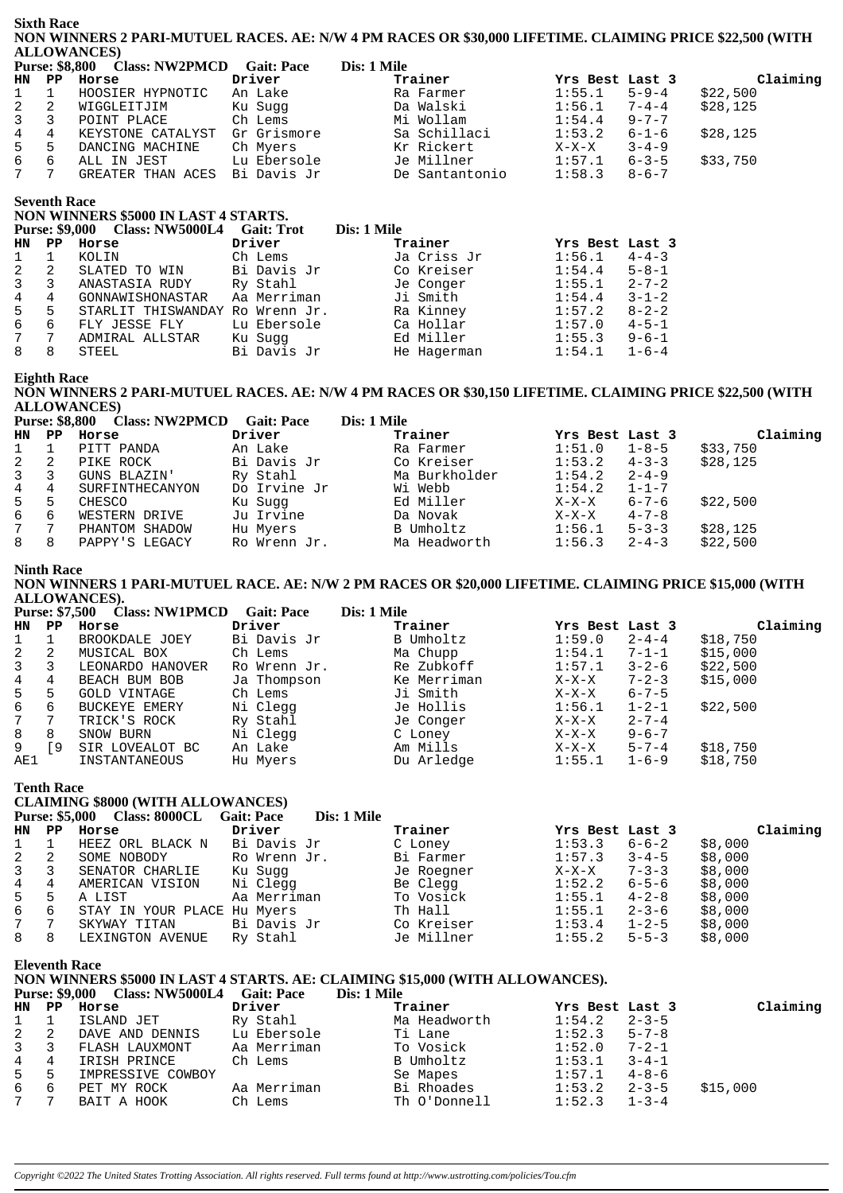#### **Sixth Race** NON WINNERS 2 PARI-MUTUEL RACES. AE: N/W 4 PM RACES OR \$30,000 LIFETIME. CLAIMING PRICE \$22,500 (WITH **ALLOWANCES**

|                  |    | Purse: \$8,800 Class: NW2PMCD | <b>Gait: Pace</b> | Dis: 1 Mile    |                 |             |          |
|------------------|----|-------------------------------|-------------------|----------------|-----------------|-------------|----------|
|                  |    | HN PP Horse                   | Driver            | Trainer        | Yrs Best Last 3 |             | Claiming |
| $1 \quad 1$      |    | HOOSIER HYPNOTIC              | An Lake           | Ra Farmer      | 1:55.1          | $5 - 9 - 4$ | \$22,500 |
| $2 \quad 2$      |    | WIGGLEITJIM                   | Ku Suqq           | Da Walski      | 1:56.1          | $7 - 4 - 4$ | \$28,125 |
| $3 \overline{3}$ |    | POINT PLACE                   | Ch Lems           | Mi Wollam      | 1:54.4          | $9 - 7 - 7$ |          |
| $4 \quad 4$      |    | KEYSTONE CATALYST             | Gr Grismore       | Sa Schillaci   | 1:53.2          | $6 - 1 - 6$ | \$28,125 |
| $5 -$            | -5 | DANCING MACHINE               | Ch Myers          | Kr Rickert     | $X-X-X$         | $3 - 4 - 9$ |          |
| 6                | -6 | ALL IN JEST                   | Lu Ebersole       | Je Millner     | 1:57.1          | $6 - 3 - 5$ | \$33,750 |
| 7                |    | GREATER THAN ACES             | Bi Davis Jr       | De Santantonio | 1:58.3          | $8 - 6 - 7$ |          |

## **Seventh Race**

#### NON WINNERS \$5000 IN LAST 4 STARTS.

|           | <b>Purse: \$9,000</b> | Class: NW5000L4 Gait: Trot |              | Dis: 1 Mile |                 |             |
|-----------|-----------------------|----------------------------|--------------|-------------|-----------------|-------------|
| <b>HN</b> | PP                    | Horse                      | Driver       | Trainer     | Yrs Best Last 3 |             |
|           |                       | KOLIN                      | Ch Lems      | Ja Criss Jr | 1:56.1          | $4 - 4 - 3$ |
| 2         | -2                    | SLATED TO WIN              | Bi Davis Jr  | Co Kreiser  | 1:54.4          | $5 - 8 - 1$ |
|           | 3                     | ANASTASIA RUDY             | Ry Stahl     | Je Conger   | 1:55.1          | $2 - 7 - 2$ |
| 4         | 4                     | GONNAWISHONASTAR           | Aa Merriman  | Ji Smith    | 1:54.4          | $3 - 1 - 2$ |
| 5         | 5                     | STARLIT THISWANDAY         | Ro Wrenn Jr. | Ra Kinney   | 1:57.2          | $8 - 2 - 2$ |
| 6         | 6                     | FLY JESSE FLY              | Lu Ebersole  | Ca Hollar   | 1:57.0          | $4 - 5 - 1$ |
|           | 7                     | ADMIRAL ALLSTAR            | Ku Suqq      | Ed Miller   | 1:55.3          | $9 - 6 - 1$ |
| 8         | 8                     | STEEL                      | Bi Davis Jr  | He Hagerman | 1:54.1          | $1 - 6 - 4$ |

## **Eighth Race**

NON WINNERS 2 PARI-MUTUEL RACES. AE: N/W 4 PM RACES OR \$30,150 LIFETIME. CLAIMING PRICE \$22,500 (WITH **ALLOWANCES**) *r*<br>Class: NW2PMCD - Cait: Pace  $P$  $\overline{\text{Disc 1} \text{Mila}}$ 

|                |    | <b>FUISE: 30,000 CIASS: INVERTIOLE GAIL: FACE</b> |              | DIS, I VIIIE  |                 |             |          |
|----------------|----|---------------------------------------------------|--------------|---------------|-----------------|-------------|----------|
| HN PP          |    | Horse                                             | Driver       | Trainer       | Yrs Best Last 3 |             | Claiming |
| $\mathbf{1}$   |    | PITT PANDA                                        | An Lake      | Ra Farmer     | 1:51.0          | $1 - 8 - 5$ | \$33,750 |
| 2              | -2 | PIKE ROCK                                         | Bi Davis Jr  | Co Kreiser    | 1:53.2          | $4 - 3 - 3$ | \$28,125 |
| $\overline{3}$ | -3 | GUNS BLAZIN'                                      | Ry Stahl     | Ma Burkholder | 1:54.2          | $2 - 4 - 9$ |          |
| $\overline{4}$ | 4  | SURFINTHECANYON                                   | Do Irvine Jr | Wi Webb       | 1:54.2          | $1 - 1 - 7$ |          |
| 5              | 5  | CHESCO                                            | Ku Sugg      | Ed Miller     | $X-X-X$         | $6 - 7 - 6$ | \$22,500 |
| 6              | 6  | WESTERN DRIVE                                     | Ju Irvine    | Da Novak      | $X-X-X$         | $4 - 7 - 8$ |          |
| 7              |    | PHANTOM SHADOW                                    | Hu Myers     | B Umholtz     | 1:56.1          | $5 - 3 - 3$ | \$28,125 |
| 8              | 8  | PAPPY'S LEGACY                                    | Ro Wrenn Jr. | Ma Headworth  | 1:56.3          | $2 - 4 - 3$ | \$22,500 |

#### **Ninth Race**

NON WINNERS 1 PARI-MUTUEL RACE. AE: N/W 2 PM RACES OR \$20,000 LIFETIME. CLAIMING PRICE \$15,000 (WITH ALLOWANCES). **MUZEN CON**  $\alpha$  in  $\mathbf{D}_{\text{tot}}^{\text{t}}$  1 Mil

|              |                        | Purse: \$7,500 Class: NWIPMCD | Gait: Pace   | Dis: 1 Mile |                 |             |          |
|--------------|------------------------|-------------------------------|--------------|-------------|-----------------|-------------|----------|
| HN           | $\mathbf{P}\mathbf{P}$ | Horse                         | Driver       | Trainer     | Yrs Best Last 3 |             | Claiming |
|              |                        | BROOKDALE JOEY                | Bi Davis Jr  | B Umholtz   | 1:59.0          | $2 - 4 - 4$ | \$18,750 |
| 2            | 2                      | MUSICAL BOX                   | Ch Lems      | Ma Chupp    | 1:54.1          | $7 - 1 - 1$ | \$15,000 |
| $\mathbf{3}$ |                        | LEONARDO HANOVER              | Ro Wrenn Jr. | Re Zubkoff  | 1:57.1          | $3 - 2 - 6$ | \$22,500 |
| 4            | 4                      | BEACH BUM BOB                 | Ja Thompson  | Ke Merriman | $X-X-X$         | $7 - 2 - 3$ | \$15,000 |
| $5 -$        | 5                      | GOLD VINTAGE                  | Ch Lems      | Ji Smith    | $X-X-X$         | $6 - 7 - 5$ |          |
| 6            | 6                      | BUCKEYE EMERY                 | Ni Clegg     | Je Hollis   | 1:56.1          | 1-2-1       | \$22,500 |
| 7            | 7                      | TRICK'S ROCK                  | Ry Stahl     | Je Conger   | X-X-X           | $2 - 7 - 4$ |          |
| 8            | 8                      | SNOW BURN                     | Ni Clegg     | C Loney     | $X-X-X$         | $9 - 6 - 7$ |          |
| 9            | 9                      | SIR LOVEALOT BC               | An Lake      | Am Mills    | $X-X-X$         | $5 - 7 - 4$ | \$18,750 |
| AE1          |                        | INSTANTANEOUS                 | Hu Myers     | Du Arledge  | 1:55.1          | $1 - 6 - 9$ | \$18,750 |

#### **Tenth Race**

### **CLAIMING \$8000 (WITH ALLOWANCES)**

|                | CLAIMING SOUVE WITH ALLOWANCES |                                     |                                  |            |                 |             |          |  |  |  |
|----------------|--------------------------------|-------------------------------------|----------------------------------|------------|-----------------|-------------|----------|--|--|--|
|                |                                | <b>Purse: \$5,000 Class: 8000CL</b> | Dis: 1 Mile<br><b>Gait: Pace</b> |            |                 |             |          |  |  |  |
| HN PP          |                                | Horse                               | Driver                           | Trainer    | Yrs Best Last 3 |             | Claiming |  |  |  |
|                |                                | HEEZ ORL BLACK N                    | Bi Davis Jr                      | C Loney    | 1:53.3          | 6-6-2       | \$8,000  |  |  |  |
| 2              | -2                             | SOME NOBODY                         | Ro Wrenn Jr.                     | Bi Farmer  | 1:57.3          | $3 - 4 - 5$ | \$8,000  |  |  |  |
| $\overline{3}$ | 3                              | SENATOR CHARLIE                     | Ku Suqq                          | Je Roegner | $X-X-X$         | $7 - 3 - 3$ | \$8,000  |  |  |  |
| 4              | 4                              | AMERICAN VISION                     | Ni Clegg                         | Be Clegg   | 1:52.2          | 6-5-6       | \$8,000  |  |  |  |
| 5              | 5                              | A LIST                              | Aa Merriman                      | To Vosick  | 1:55.1          | $4 - 2 - 8$ | \$8,000  |  |  |  |
| 6              | 6                              | STAY IN YOUR PLACE Hu Myers         |                                  | Th Hall    | 1:55.1          | $2 - 3 - 6$ | \$8,000  |  |  |  |
| 7              |                                | SKYWAY TITAN                        | Bi Davis Jr                      | Co Kreiser | 1:53.4          | $1 - 2 - 5$ | \$8,000  |  |  |  |
| 8              | -8                             | LEXINGTON AVENUE                    | Ry Stahl                         | Je Millner | 1:55.2          | $5 - 5 - 3$ | \$8,000  |  |  |  |

**Eleventh Race** 

### NON WINNERS \$5000 IN LAST 4 STARTS. AE: CLAIMING \$15,000 (WITH ALLOWANCES).

#### Purse: \$9,000 Class: NW5000L4 Gait: Pace Dis: 1 Mile

|             | HN PP       | Horse             | Driver      | Trainer      | Yrs Best Last 3  |             | Claiming |
|-------------|-------------|-------------------|-------------|--------------|------------------|-------------|----------|
| $1 \quad 1$ |             | ISLAND JET        | Ry Stahl    | Ma Headworth | 1:54.2           | $2 - 3 - 5$ |          |
|             | $2 \quad 2$ | DAVE AND DENNIS   | Lu Ebersole | Ti Lane      | 1:52.3           | $5 - 7 - 8$ |          |
| $3 \quad 3$ |             | FLASH LAUXMONT    | Aa Merriman | To Vosick    | 1:52.0           | $7 - 2 - 1$ |          |
| 4 4         |             | IRISH PRINCE      | Ch Lems     | B Umholtz    | 1:53.1           | $3 - 4 - 1$ |          |
| 5 5         |             | IMPRESSIVE COWBOY |             | Se Mapes     | 1:57.1           | $4 - 8 - 6$ |          |
| 6 6         |             | PET MY ROCK       | Aa Merriman | Bi Rhoades   | 1:53.2           | $2 - 3 - 5$ | \$15,000 |
| 7 7         |             | BAIT A HOOK       | Ch Lems     | Th O'Donnell | $1:52.3$ $1-3-4$ |             |          |